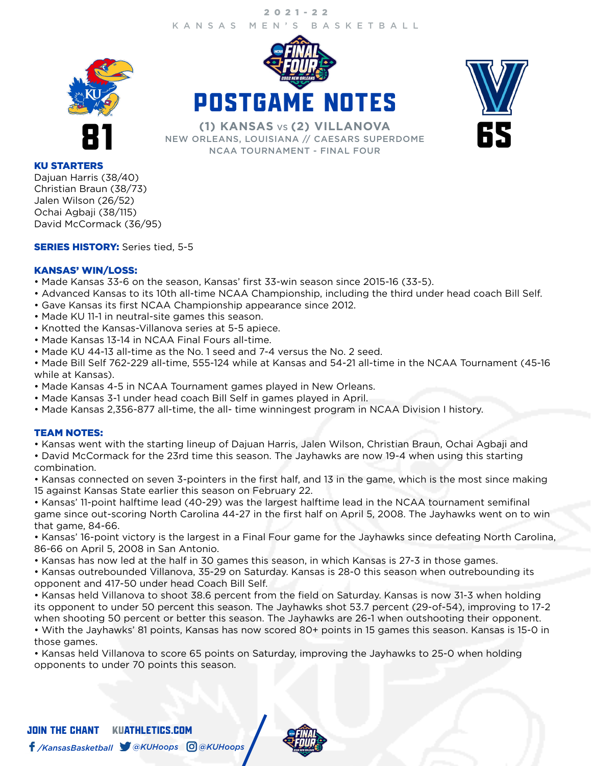## KANSAS MEN'S BASKETBALL 2021-22







**81 CONSTRUCTED CONSTRUCTED CONSTRUCTED ASSESS**<br>
IN THE MEW ORLEANS, LOUISIANA // CAESARS SUPERDOME<br>
NCAA TOURNAMENT - FINAL FOUR NEW ORLEANS, LOUISIANA // CAESARS SUPERDOME NCAA TOURNAMENT - FINAL FOUR

### KU STARTERS

Dajuan Harris (38/40) Christian Braun (38/73) Jalen Wilson (26/52) Ochai Agbaji (38/115) David McCormack (36/95)

### **SERIES HISTORY:** Series tied, 5-5

### KANSAS' WIN/LOSS:

- Made Kansas 33-6 on the season, Kansas' first 33-win season since 2015-16 (33-5).
- Advanced Kansas to its 10th all-time NCAA Championship, including the third under head coach Bill Self.
- Gave Kansas its first NCAA Championship appearance since 2012.
- Made KU 11-1 in neutral-site games this season.
- Knotted the Kansas-Villanova series at 5-5 apiece.
- Made Kansas 13-14 in NCAA Final Fours all-time.
- Made KU 44-13 all-time as the No. 1 seed and 7-4 versus the No. 2 seed.

• Made Bill Self 762-229 all-time, 555-124 while at Kansas and 54-21 all-time in the NCAA Tournament (45-16 while at Kansas).

- Made Kansas 4-5 in NCAA Tournament games played in New Orleans.
- Made Kansas 3-1 under head coach Bill Self in games played in April.
- Made Kansas 2,356-877 all-time, the all- time winningest program in NCAA Division I history.

### TEAM NOTES:

• Kansas went with the starting lineup of Dajuan Harris, Jalen Wilson, Christian Braun, Ochai Agbaji and

• David McCormack for the 23rd time this season. The Jayhawks are now 19-4 when using this starting combination.

• Kansas connected on seven 3-pointers in the first half, and 13 in the game, which is the most since making 15 against Kansas State earlier this season on February 22.

• Kansas' 11-point halftime lead (40-29) was the largest halftime lead in the NCAA tournament semifinal game since out-scoring North Carolina 44-27 in the first half on April 5, 2008. The Jayhawks went on to win that game, 84-66.

• Kansas' 16-point victory is the largest in a Final Four game for the Jayhawks since defeating North Carolina, 86-66 on April 5, 2008 in San Antonio.

• Kansas has now led at the half in 30 games this season, in which Kansas is 27-3 in those games.

• Kansas outrebounded Villanova, 35-29 on Saturday. Kansas is 28-0 this season when outrebounding its opponent and 417-50 under head Coach Bill Self.

• Kansas held Villanova to shoot 38.6 percent from the field on Saturday. Kansas is now 31-3 when holding its opponent to under 50 percent this season. The Jayhawks shot 53.7 percent (29-of-54), improving to 17-2 when shooting 50 percent or better this season. The Jayhawks are 26-1 when outshooting their opponent.

• With the Jayhawks' 81 points, Kansas has now scored 80+ points in 15 games this season. Kansas is 15-0 in those games.

• Kansas held Villanova to score 65 points on Saturday, improving the Jayhawks to 25-0 when holding opponents to under 70 points this season.